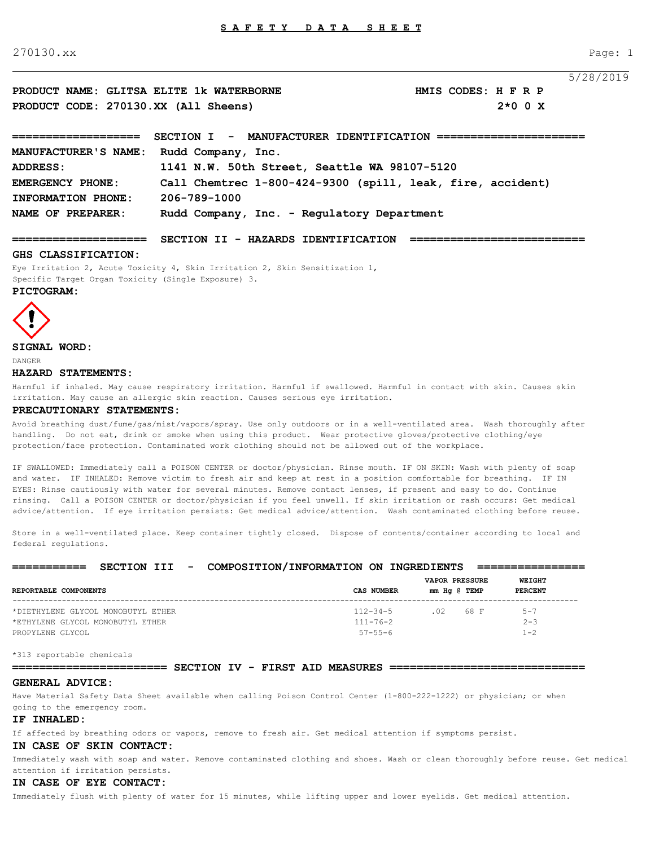270130.xx Page: 1

|                                          |                                                                 |                     |           | 5/28/2019 |
|------------------------------------------|-----------------------------------------------------------------|---------------------|-----------|-----------|
| PRODUCT NAME: GLITSA ELITE 1k WATERBORNE |                                                                 | HMIS CODES: H F R P |           |           |
| PRODUCT CODE: 270130.XX (All Sheens)     |                                                                 |                     | $2*0$ 0 X |           |
|                                          | SECTION I - MANUFACTURER IDENTIFICATION ======================= |                     |           |           |
| MANUFACTURER'S NAME:                     | Rudd Company, Inc.                                              |                     |           |           |
| ADDRESS:                                 | 1141 N.W. 50th Street, Seattle WA 98107-5120                    |                     |           |           |
| EMERGENCY PHONE:                         | Call Chemtrec 1-800-424-9300 (spill, leak, fire, accident)      |                     |           |           |
| INFORMATION PHONE:                       | 206-789-1000                                                    |                     |           |           |
| NAME OF PREPARER:                        | Rudd Company, Inc. - Regulatory Department                      |                     |           |           |

**==================== SECTION II - HAZARDS IDENTIFICATION ==========================** 

#### **GHS CLASSIFICATION:**

Eye Irritation 2, Acute Toxicity 4, Skin Irritation 2, Skin Sensitization 1, Specific Target Organ Toxicity (Single Exposure) 3.

## **PICTOGRAM:**



## **SIGNAL WORD:**

DANGER

### **HAZARD STATEMENTS:**

Harmful if inhaled. May cause respiratory irritation. Harmful if swallowed. Harmful in contact with skin. Causes skin irritation. May cause an allergic skin reaction. Causes serious eye irritation.

### **PRECAUTIONARY STATEMENTS:**

Avoid breathing dust/fume/gas/mist/vapors/spray. Use only outdoors or in a well-ventilated area. Wash thoroughly after handling. Do not eat, drink or smoke when using this product. Wear protective gloves/protective clothing/eye protection/face protection. Contaminated work clothing should not be allowed out of the workplace.

IF SWALLOWED: Immediately call a POISON CENTER or doctor/physician. Rinse mouth. IF ON SKIN: Wash with plenty of soap and water. IF INHALED: Remove victim to fresh air and keep at rest in a position comfortable for breathing. IF IN EYES: Rinse cautiously with water for several minutes. Remove contact lenses, if present and easy to do. Continue rinsing. Call a POISON CENTER or doctor/physician if you feel unwell. If skin irritation or rash occurs: Get medical advice/attention. If eye irritation persists: Get medical advice/attention. Wash contaminated clothing before reuse.

Store in a well-ventilated place. Keep container tightly closed. Dispose of contents/container according to local and federal regulations.

#### **=========== SECTION III - COMPOSITION/INFORMATION ON INGREDIENTS ================**

| REPORTABLE COMPONENTS              | CAS NUMBER     | <b>VAPOR PRESSURE</b><br>mm Hq @ TEMP | WEIGHT<br><b>PERCENT</b> |
|------------------------------------|----------------|---------------------------------------|--------------------------|
| *DIETHYLENE GLYCOL MONOBUTYL ETHER | $112 - 34 - 5$ | .02 68 F                              | $5 - 7$                  |
| *ETHYLENE GLYCOL MONOBUTYL ETHER   | $111 - 76 - 2$ |                                       | $2 - 3$                  |
| PROPYLENE GLYCOL                   | $57 - 55 - 6$  |                                       | $1 - 2$                  |

\*313 reportable chemicals

#### **======================= SECTION IV - FIRST AID MEASURES =============================**

#### **GENERAL ADVICE:**

Have Material Safety Data Sheet available when calling Poison Control Center (1-800-222-1222) or physician; or when going to the emergency room.

#### **IF INHALED:**

If affected by breathing odors or vapors, remove to fresh air. Get medical attention if symptoms persist.

#### **IN CASE OF SKIN CONTACT:**

Immediately wash with soap and water. Remove contaminated clothing and shoes. Wash or clean thoroughly before reuse. Get medical attention if irritation persists.

#### **IN CASE OF EYE CONTACT:**

Immediately flush with plenty of water for 15 minutes, while lifting upper and lower eyelids. Get medical attention.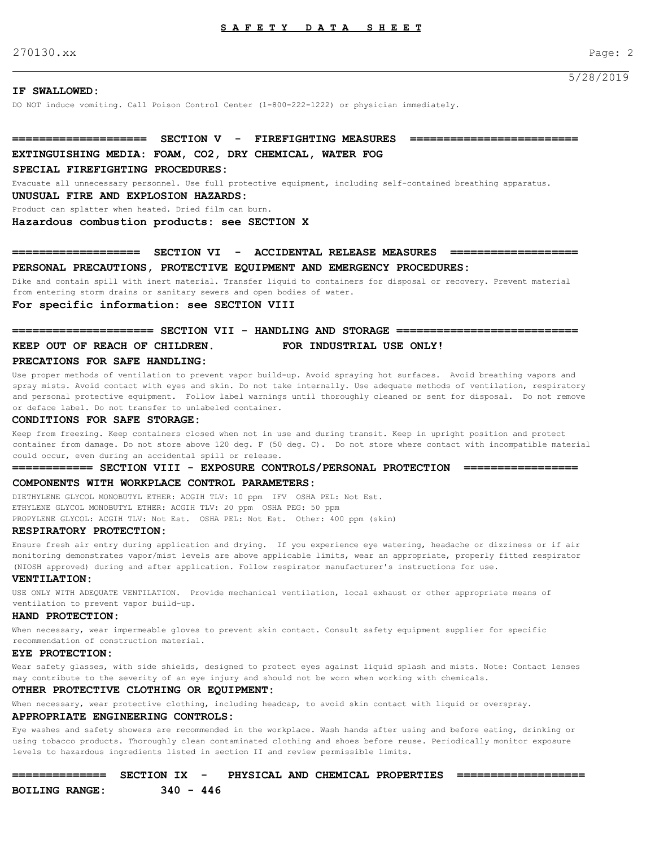270130.xx Page: 2

5/28/2019

#### **IF SWALLOWED:**

DO NOT induce vomiting. Call Poison Control Center (1-800-222-1222) or physician immediately.

# **==================== SECTION V - FIREFIGHTING MEASURES =========================**

## **EXTINGUISHING MEDIA: FOAM, CO2, DRY CHEMICAL, WATER FOG**

## **SPECIAL FIREFIGHTING PROCEDURES:**

Evacuate all unnecessary personnel. Use full protective equipment, including self-contained breathing apparatus.

#### **UNUSUAL FIRE AND EXPLOSION HAZARDS:**

Product can splatter when heated. Dried film can burn.

**Hazardous combustion products: see SECTION X** 

## **=================== SECTION VI - ACCIDENTAL RELEASE MEASURES =================== PERSONAL PRECAUTIONS, PROTECTIVE EQUIPMENT AND EMERGENCY PROCEDURES:**

Dike and contain spill with inert material. Transfer liquid to containers for disposal or recovery. Prevent material from entering storm drains or sanitary sewers and open bodies of water.

### **For specific information: see SECTION VIII**

## **===================== SECTION VII - HANDLING AND STORAGE =========================== KEEP OUT OF REACH OF CHILDREN. FOR INDUSTRIAL USE ONLY!**

#### **PRECATIONS FOR SAFE HANDLING:**

Use proper methods of ventilation to prevent vapor build-up. Avoid spraying hot surfaces. Avoid breathing vapors and spray mists. Avoid contact with eyes and skin. Do not take internally. Use adequate methods of ventilation, respiratory and personal protective equipment. Follow label warnings until thoroughly cleaned or sent for disposal. Do not remove or deface label. Do not transfer to unlabeled container.

#### **CONDITIONS FOR SAFE STORAGE:**

Keep from freezing. Keep containers closed when not in use and during transit. Keep in upright position and protect container from damage. Do not store above 120 deg. F (50 deg. C). Do not store where contact with incompatible material could occur, even during an accidental spill or release.

#### **============ SECTION VIII - EXPOSURE CONTROLS/PERSONAL PROTECTION =================**

#### **COMPONENTS WITH WORKPLACE CONTROL PARAMETERS:**

DIETHYLENE GLYCOL MONOBUTYL ETHER: ACGIH TLV: 10 ppm IFV OSHA PEL: Not Est. ETHYLENE GLYCOL MONOBUTYL ETHER: ACGIH TLV: 20 ppm OSHA PEG: 50 ppm PROPYLENE GLYCOL: ACGIH TLV: Not Est. OSHA PEL: Not Est. Other: 400 ppm (skin)

#### **RESPIRATORY PROTECTION:**

Ensure fresh air entry during application and drying. If you experience eye watering, headache or dizziness or if air monitoring demonstrates vapor/mist levels are above applicable limits, wear an appropriate, properly fitted respirator (NIOSH approved) during and after application. Follow respirator manufacturer's instructions for use.

#### **VENTILATION:**

USE ONLY WITH ADEQUATE VENTILATION. Provide mechanical ventilation, local exhaust or other appropriate means of ventilation to prevent vapor build-up.

#### **HAND PROTECTION:**

When necessary, wear impermeable gloves to prevent skin contact. Consult safety equipment supplier for specific recommendation of construction material.

#### **EYE PROTECTION:**

Wear safety glasses, with side shields, designed to protect eyes against liquid splash and mists. Note: Contact lenses may contribute to the severity of an eye injury and should not be worn when working with chemicals.

#### **OTHER PROTECTIVE CLOTHING OR EQUIPMENT:**

When necessary, wear protective clothing, including headcap, to avoid skin contact with liquid or overspray.

#### **APPROPRIATE ENGINEERING CONTROLS:**

Eye washes and safety showers are recommended in the workplace. Wash hands after using and before eating, drinking or using tobacco products. Thoroughly clean contaminated clothing and shoes before reuse. Periodically monitor exposure levels to hazardous ingredients listed in section II and review permissible limits.

| _______________<br>______________ | SECTION IX                             | PHYSICAL AND CHEMICAL PROPERTIES |  | _____________________<br>_____________________ |
|-----------------------------------|----------------------------------------|----------------------------------|--|------------------------------------------------|
| <b>BOILING RANGE:</b>             | 340<br>446<br>$\overline{\phantom{0}}$ |                                  |  |                                                |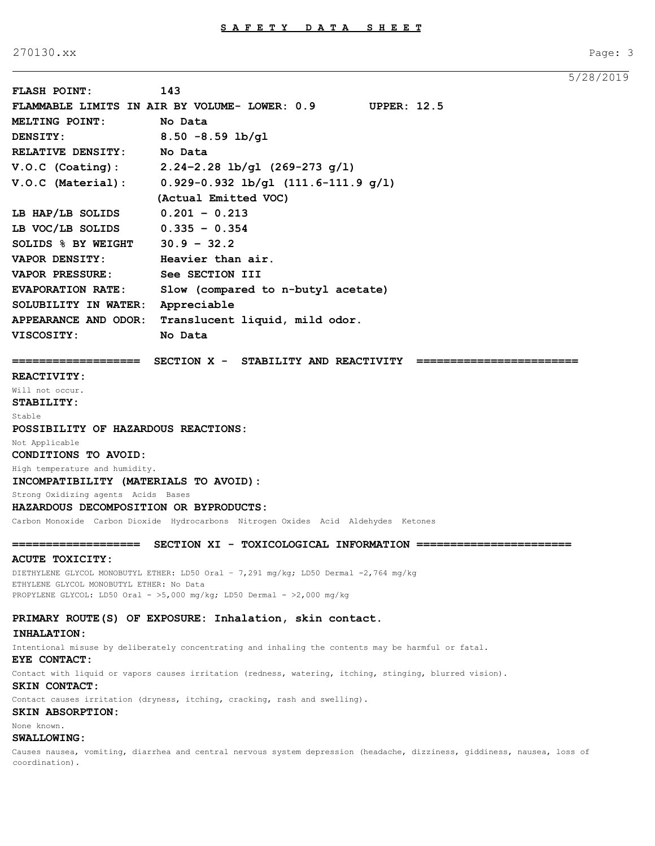270130.xx Page: 3

```
5/28/2019
```

|                                                                               |                                                                                                                          | J / 40 |
|-------------------------------------------------------------------------------|--------------------------------------------------------------------------------------------------------------------------|--------|
| <b>FLASH POINT:</b>                                                           | 143                                                                                                                      |        |
|                                                                               | FLAMMABLE LIMITS IN AIR BY VOLUME- LOWER: 0.9<br><b>UPPER: 12.5</b>                                                      |        |
| <b>MELTING POINT:</b>                                                         | No Data                                                                                                                  |        |
| DENSITY:                                                                      | $8.50 - 8.59$ lb/gl                                                                                                      |        |
| RELATIVE DENSITY: No Data                                                     |                                                                                                                          |        |
|                                                                               | V.O.C (Coating): $2.24-2.28$ lb/gl (269-273 g/1)                                                                         |        |
| V.O.C (Material):                                                             | $0.929 - 0.932$ lb/gl $(111.6 - 111.9$ g/l)                                                                              |        |
|                                                                               | (Actual Emitted VOC)                                                                                                     |        |
| LB HAP/LB SOLIDS                                                              | $0.201 - 0.213$                                                                                                          |        |
|                                                                               |                                                                                                                          |        |
| LB VOC/LB SOLIDS $0.335 - 0.354$                                              |                                                                                                                          |        |
| SOLIDS $%$ BY WEIGHT 30.9 - 32.2                                              |                                                                                                                          |        |
| <b>VAPOR DENSITY:</b>                                                         | Heavier than air.                                                                                                        |        |
| <b>VAPOR PRESSURE:</b>                                                        | See SECTION III                                                                                                          |        |
| <b>EVAPORATION RATE:</b>                                                      | Slow (compared to n-butyl acetate)                                                                                       |        |
| SOLUBILITY IN WATER:                                                          | Appreciable                                                                                                              |        |
| APPEARANCE AND ODOR:                                                          | Translucent liquid, mild odor.                                                                                           |        |
| <b>VISCOSITY:</b>                                                             | No Data                                                                                                                  |        |
| ===================                                                           | SECTION X - STABILITY AND REACTIVITY ===                                                                                 |        |
| <b>REACTIVITY:</b>                                                            |                                                                                                                          |        |
| Will not occur.                                                               |                                                                                                                          |        |
| STABILITY:                                                                    |                                                                                                                          |        |
| Stable                                                                        |                                                                                                                          |        |
| POSSIBILITY OF HAZARDOUS REACTIONS:                                           |                                                                                                                          |        |
| Not Applicable                                                                |                                                                                                                          |        |
| CONDITIONS TO AVOID:                                                          |                                                                                                                          |        |
| High temperature and humidity.                                                |                                                                                                                          |        |
| INCOMPATIBILITY (MATERIALS TO AVOID):                                         |                                                                                                                          |        |
| Strong Oxidizing agents Acids Bases<br>HAZARDOUS DECOMPOSITION OR BYPRODUCTS: |                                                                                                                          |        |
|                                                                               | Carbon Monoxide Carbon Dioxide Hydrocarbons Nitrogen Oxides Acid Aldehydes Ketones                                       |        |
|                                                                               |                                                                                                                          |        |
| ====================                                                          | SECTION XI - TOXICOLOGICAL INFORMATION ==============                                                                    |        |
| ACUTE TOXICITY:                                                               |                                                                                                                          |        |
| ETHYLENE GLYCOL MONOBUTYL ETHER: No Data                                      | DIETHYLENE GLYCOL MONOBUTYL ETHER: LD50 Oral - 7,291 mg/kg; LD50 Dermal -2,764 mg/kg                                     |        |
|                                                                               | PROPYLENE GLYCOL: LD50 Oral - >5,000 mg/kg; LD50 Dermal - >2,000 mg/kg                                                   |        |
|                                                                               |                                                                                                                          |        |
|                                                                               | PRIMARY ROUTE(S) OF EXPOSURE: Inhalation, skin contact.                                                                  |        |
| INHALATION:                                                                   |                                                                                                                          |        |
| EYE CONTACT:                                                                  | Intentional misuse by deliberately concentrating and inhaling the contents may be harmful or fatal.                      |        |
|                                                                               | Contact with liquid or vapors causes irritation (redness, watering, itching, stinging, blurred vision).                  |        |
| SKIN CONTACT:                                                                 |                                                                                                                          |        |
|                                                                               | Contact causes irritation (dryness, itching, cracking, rash and swelling).                                               |        |
| SKIN ABSORPTION:                                                              |                                                                                                                          |        |
| None known.                                                                   |                                                                                                                          |        |
| <b>SWALLOWING:</b>                                                            |                                                                                                                          |        |
| coordination).                                                                | Causes nausea, vomiting, diarrhea and central nervous system depression (headache, dizziness, giddiness, nausea, loss of |        |
|                                                                               |                                                                                                                          |        |
|                                                                               |                                                                                                                          |        |